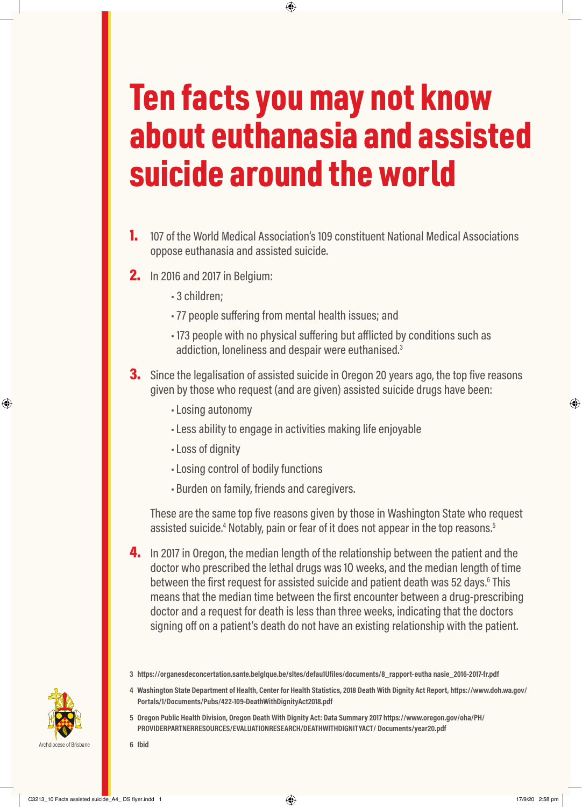## Ten facts you may not know about euthanasia and assisted suicide around the world

⊕

- 1. 107 of the World Medical Association's 109 constituent National Medical Associations oppose euthanasia and assisted suicide.
- **2.** In 2016 and 2017 in Belgium:
	- 3 children;
	- 77 people suffering from mental health issues; and
	- 173 people with no physical suffering but afflicted by conditions such as addiction, loneliness and despair were euthanised.<sup>3</sup>
- **3.** Since the legalisation of assisted suicide in Oregon 20 years ago, the top five reasons given by those who request (and are given) assisted suicide drugs have been:
	- •Losing autonomy
	- •Less ability to engage in activities making life enjoyable
	- •Loss of dignity
	- •Losing control of bodily functions
	- Burden on family, friends and caregivers.

These are the same top five reasons given by those in Washington State who request assisted suicide.<sup>4</sup> Notably, pain or fear of it does not appear in the top reasons.<sup>5</sup>

4. In 2017 in Oregon, the median length of the relationship between the patient and the doctor who prescribed the lethal drugs was 1O weeks, and the median length of time between the first request for assisted suicide and patient death was 52 days.<sup>6</sup> This means that the median time between the first encounter between a drug-prescribing doctor and a request for death is less than three weeks, indicating that the doctors signing off on a patient's death do not have an existing relationship with the patient.

- **4 Washington State Department of Health, Center for Health Statistics, 2018 Death With Dignity Act Report, https://www.doh.wa.gov/ Portals/1/Documents/Pubs/422-109-DeathWithDignityAct2018.pdf**
- **5 Oregon Public Health Division, Oregon Death With Dignity Act: Data Summary 2017 https://www.oregon.gov/oha/PH/ PROVIDERPARTNERRESOURCES/EVALUATIONRESEARCH/DEATHWITHDIGNITYACT/ Documents/year20.pdf**

Archdiocese of Brisbane **6 Ibid**



⊕

C3213\_10 Facts assisted suicide\_A4\_ DS flyer.indd 1  $\qquad \qquad \bigoplus$ 

⊕

**<sup>3</sup> https://organesdeconcertation.sante.belglque.be/sltes/defau1Ufiles/documents/8\_rapport-eutha nasie\_2016-2017-fr.pdf**